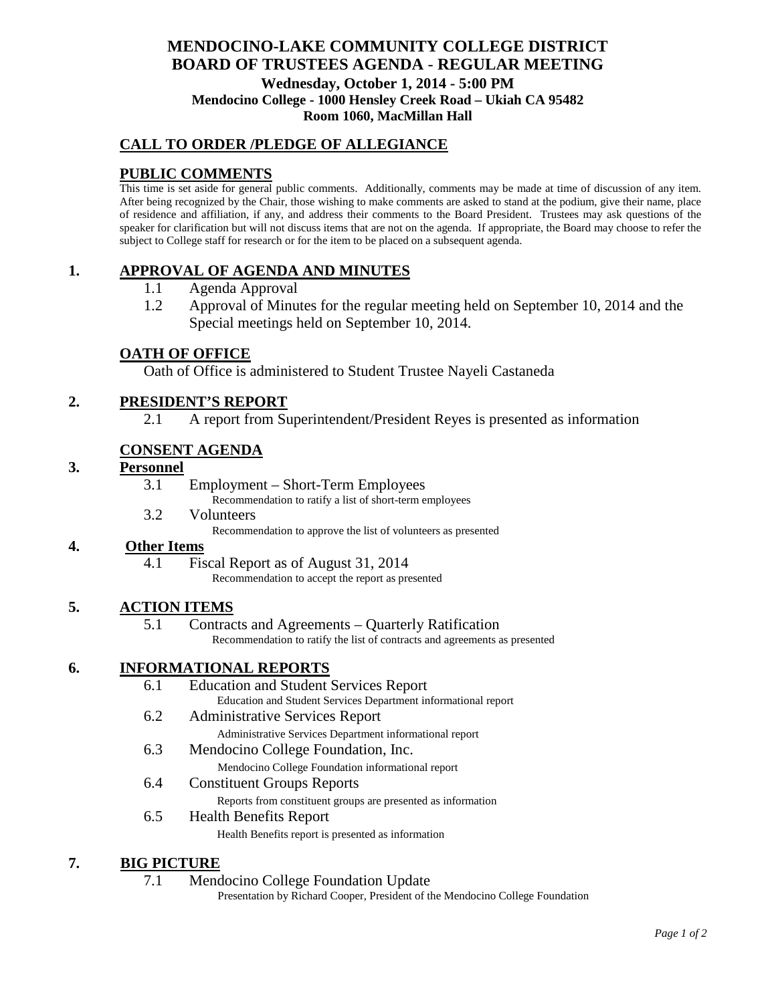# **MENDOCINO-LAKE COMMUNITY COLLEGE DISTRICT BOARD OF TRUSTEES AGENDA** - **REGULAR MEETING Wednesday, October 1, 2014 - 5:00 PM Mendocino College - 1000 Hensley Creek Road – Ukiah CA 95482 Room 1060, MacMillan Hall**

# **CALL TO ORDER /PLEDGE OF ALLEGIANCE**

# **PUBLIC COMMENTS**

This time is set aside for general public comments. Additionally, comments may be made at time of discussion of any item. After being recognized by the Chair, those wishing to make comments are asked to stand at the podium, give their name, place of residence and affiliation, if any, and address their comments to the Board President. Trustees may ask questions of the speaker for clarification but will not discuss items that are not on the agenda. If appropriate, the Board may choose to refer the subject to College staff for research or for the item to be placed on a subsequent agenda.

## **1. APPROVAL OF AGENDA AND MINUTES**

- 1.1 Agenda Approval
- 1.2 Approval of Minutes for the regular meeting held on September 10, 2014 and the Special meetings held on September 10, 2014.

### **OATH OF OFFICE**

Oath of Office is administered to Student Trustee Nayeli Castaneda

## **2. PRESIDENT'S REPORT**

2.1 A report from Superintendent/President Reyes is presented as information

## **CONSENT AGENDA**

## **3. Personnel**

3.1 Employment – Short-Term Employees

Recommendation to ratify a list of short-term employees

3.2 Volunteers

Recommendation to approve the list of volunteers as presented

# **4. Other Items**

4.1 Fiscal Report as of August 31, 2014

Recommendation to accept the report as presented

## **5. ACTION ITEMS**

5.1 Contracts and Agreements – Quarterly Ratification

Recommendation to ratify the list of contracts and agreements as presented

## **6. INFORMATIONAL REPORTS**

| 6.1 | <b>Education and Student Services Report</b>                   |
|-----|----------------------------------------------------------------|
|     | Education and Student Services Department informational report |
| 6.2 | <b>Administrative Services Report</b>                          |
|     | Administrative Services Department informational report        |
| 6.3 | Mendocino College Foundation, Inc.                             |
|     | Mendocino College Foundation informational report              |

6.4 Constituent Groups Reports

Reports from constituent groups are presented as information

6.5 Health Benefits Report Health Benefits report is presented as information

## **7. BIG PICTURE**

7.1 Mendocino College Foundation Update

Presentation by Richard Cooper, President of the Mendocino College Foundation